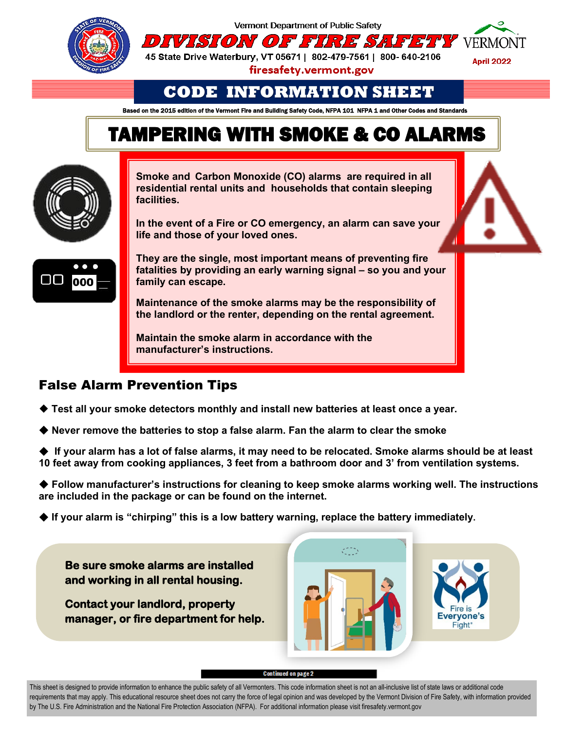

Vermont Department of Public Safety



45 State Drive Waterbury, VT 05671 | 802-479-7561 | 800- 640-2106

firesafety.vermont.gov

# **CODE INFORMATION SHEET**

Based on the 2015 edition of the Vermont Fire and Building Safety Code, NFPA 101 NFPA 1 and Other Codes and Standards

# TAMPERING WITH SMOKE & CO ALARMS



**Smoke and Carbon Monoxide (CO) alarms are required in all residential rental units and households that contain sleeping facilities.**

**In the event of a Fire or CO emergency, an alarm can save your life and those of your loved ones.** 



**They are the single, most important means of preventing fire fatalities by providing an early warning signal – so you and your family can escape.** 

**Maintenance of the smoke alarms may be the responsibility of the landlord or the renter, depending on the rental agreement.** 

**Maintain the smoke alarm in accordance with the manufacturer's instructions.**

## False Alarm Prevention Tips

- ◆ Test all your smoke detectors monthly and install new batteries at least once a year.
- **Never remove the batteries to stop a false alarm. Fan the alarm to clear the smoke**
- **If your alarm has a lot of false alarms, it may need to be relocated. Smoke alarms should be at least 10 feet away from cooking appliances, 3 feet from a bathroom door and 3' from ventilation systems.**

◆ Follow manufacturer's instructions for cleaning to keep smoke alarms working well. The instructions **are included in the package or can be found on the internet.** 

◆ If your alarm is "chirping" this is a low battery warning, replace the battery immediately.

**Be sure smoke alarms are installed and working in all rental housing.** 

**Contact your landlord, property manager, or fire department for help.** 



Continued on page 2

This sheet is designed to provide information to enhance the public safety of all Vermonters. This code information sheet is not an all-inclusive list of state laws or additional code requirements that may apply. This educational resource sheet does not carry the force of legal opinion and was developed by the Vermont Division of Fire Safety, with information provided by The U.S. Fire Administration and the National Fire Protection Association (NFPA). For additional information please visit firesafety.vermont.gov